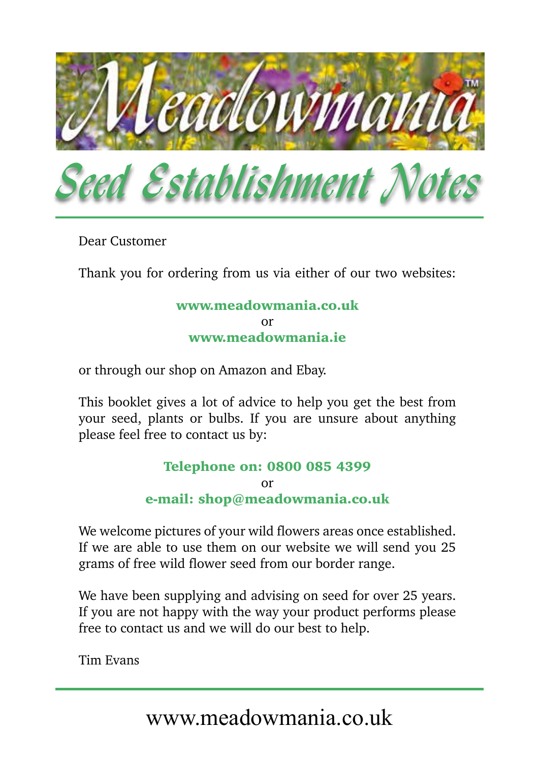

Dear Customer

Thank you for ordering from us via either of our two websites:

#### www.meadowmania.co.uk or www.meadowmania.ie

or through our shop on Amazon and Ebay.

This booklet gives a lot of advice to help you get the best from your seed, plants or bulbs. If you are unsure about anything please feel free to contact us by:

#### Telephone on: 0800 085 4399 or e-mail: shop@meadowmania.co.uk

We welcome pictures of your wild flowers areas once established. If we are able to use them on our website we will send you 25 grams of free wild flower seed from our border range.

We have been supplying and advising on seed for over 25 years. If you are not happy with the way your product performs please free to contact us and we will do our best to help.

Tim Evans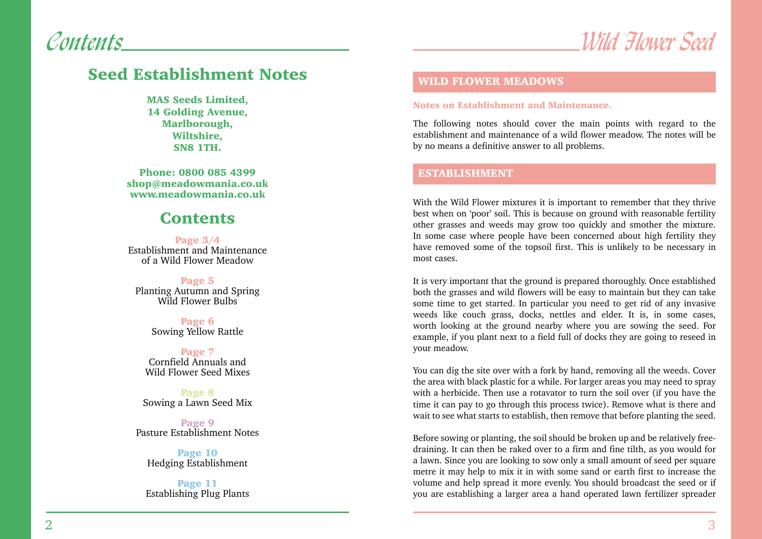# Contents

# Wild Flower Seed

# Seed Establishment Notes

MAS Seeds Limited, 14 Golding Avenue, Marlborough, Wiltshire, SN8 1TH.

Phone: 0800 085 4399 shop@meadowmania.co.uk www.meadowmania.co.uk

# **Contents**

Page 3/4 Establishment and Maintenance of a Wild Flower Meadow

Page 5 Planting Autumn and Spring Wild Flower Bulbs

> Page 6 Sowing Yellow Rattle

Page 7 Cornfield Annuals and Wild Flower Seed Mixes

Page 8 Sowing a Lawn Seed Mix

Page 9 Pasture Establishment Notes

Page 10 Hedging Establishment

Page 11 Establishing Plug Plants

#### WILD FLOWER MEADOWS

#### Notes on Establishment and Maintenance.

The following notes should cover the main points with regard to the establishment and maintenance of a wild flower meadow. The notes will be by no means a definitive answer to all problems.

#### ESTABLISHMENT

With the Wild Flower mixtures it is important to remember that they thrive best when on 'poor' soil. This is because on ground with reasonable fertility other grasses and weeds may grow too quickly and smother the mixture. In some case where people have been concerned about high fertility they have removed some of the topsoil first. This is unlikely to be necessary in most cases.

It is very important that the ground is prepared thoroughly. Once established both the grasses and wild flowers will be easy to maintain but they can take some time to get started. In particular you need to get rid of any invasive weeds like couch grass, docks, nettles and elder. It is, in some cases, worth looking at the ground nearby where you are sowing the seed. For example, if you plant next to a field full of docks they are going to reseed in your meadow.

You can dig the site over with a fork by hand, removing all the weeds. Cover the area with black plastic for a while. For larger areas you may need to spray with a herbicide. Then use a rotavator to turn the soil over (if you have the time it can pay to go through this process twice). Remove what is there and wait to see what starts to establish, then remove that before planting the seed.

Before sowing or planting, the soil should be broken up and be relatively freedraining. It can then be raked over to a firm and fine tilth, as you would for a lawn. Since you are looking to sow only a small amount of seed per square metre it may help to mix it in with some sand or earth first to increase the volume and help spread it more evenly. You should broadcast the seed or if you are establishing a larger area a hand operated lawn fertilizer spreader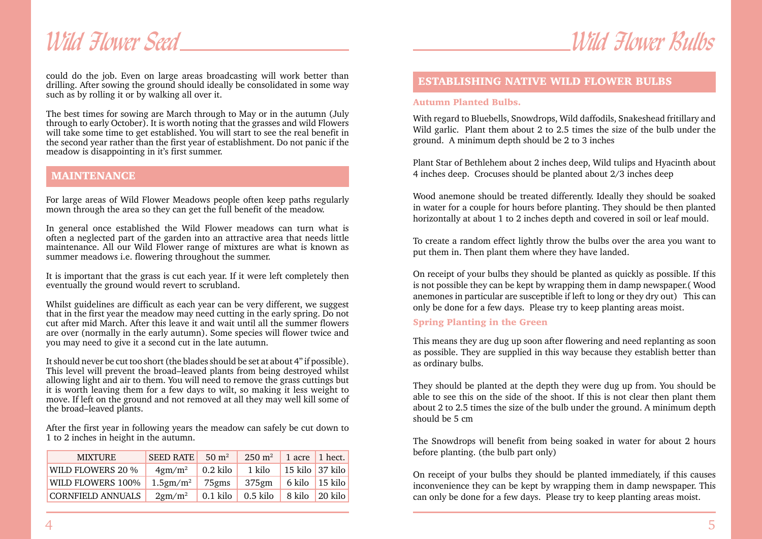could do the job. Even on large areas broadcasting will work better than drilling. After sowing the ground should ideally be consolidated in some way such as by rolling it or by walking all over it.

The best times for sowing are March through to May or in the autumn (July through to early October). It is worth noting that the grasses and wild Flowers will take some time to get established. You will start to see the real benefit in the second year rather than the first year of establishment. Do not panic if the meadow is disappointing in it's first summer.

## **MAINTENANCE**

For large areas of Wild Flower Meadows people often keep paths regularly mown through the area so they can get the full benefit of the meadow.

In general once established the Wild Flower meadows can turn what is often a neglected part of the garden into an attractive area that needs little maintenance. All our Wild Flower range of mixtures are what is known as summer meadows i.e. flowering throughout the summer.

It is important that the grass is cut each year. If it were left completely then eventually the ground would revert to scrubland.

Whilst guidelines are difficult as each year can be very different, we suggest that in the first year the meadow may need cutting in the early spring. Do not cut after mid March. After this leave it and wait until all the summer flowers are over (normally in the early autumn). Some species will flower twice and you may need to give it a second cut in the late autumn.

It should never be cut too short (the blades should be set at about 4" if possible). This level will prevent the broad–leaved plants from being destroyed whilst allowing light and air to them. You will need to remove the grass cuttings but it is worth leaving them for a few days to wilt, so making it less weight to move. If left on the ground and not removed at all they may well kill some of the broad–leaved plants.

After the first year in following years the meadow can safely be cut down to 1 to 2 inches in height in the autumn.

| <b>MIXTURE</b>           | SEED RATE $\vert$ 50 m <sup>2</sup>               | $250 \text{ m}^2$ 1 acre 1 hect. |  |
|--------------------------|---------------------------------------------------|----------------------------------|--|
| <b>WILD FLOWERS 20 %</b> | $4gm/m^2$   0.2 kilo   1 kilo   15 kilo   37 kilo |                                  |  |
| <b>WILD FLOWERS 100%</b> | $1.5gm/m2$ 75gms 375gm 6 kilo 15 kilo             |                                  |  |
| CORNFIELD ANNUALS        | $2gm/m^2$ 0.1 kilo 0.5 kilo 8 kilo 20 kilo        |                                  |  |

## ESTABLISHING NATIVE WILD FLOWER BULBS

#### Autumn Planted Bulbs.

With regard to Bluebells, Snowdrops, Wild daffodils, Snakeshead fritillary and Wild garlic. Plant them about 2 to 2.5 times the size of the bulb under the ground. A minimum depth should be 2 to 3 inches

Plant Star of Bethlehem about 2 inches deep, Wild tulips and Hyacinth about 4 inches deep. Crocuses should be planted about 2/3 inches deep

Wood anemone should be treated differently. Ideally they should be soaked in water for a couple for hours before planting. They should be then planted horizontally at about 1 to 2 inches depth and covered in soil or leaf mould.

To create a random effect lightly throw the bulbs over the area you want to put them in. Then plant them where they have landed.

On receipt of your bulbs they should be planted as quickly as possible. If this is not possible they can be kept by wrapping them in damp newspaper.( Wood anemones in particular are susceptible if left to long or they dry out) This can only be done for a few days. Please try to keep planting areas moist.

## Spring Planting in the Green

This means they are dug up soon after flowering and need replanting as soon as possible. They are supplied in this way because they establish better than as ordinary bulbs.

They should be planted at the depth they were dug up from. You should be able to see this on the side of the shoot. If this is not clear then plant them about 2 to 2.5 times the size of the bulb under the ground. A minimum depth should be 5 cm

The Snowdrops will benefit from being soaked in water for about 2 hours before planting. (the bulb part only)

On receipt of your bulbs they should be planted immediately, if this causes inconvenience they can be kept by wrapping them in damp newspaper. This can only be done for a few days. Please try to keep planting areas moist.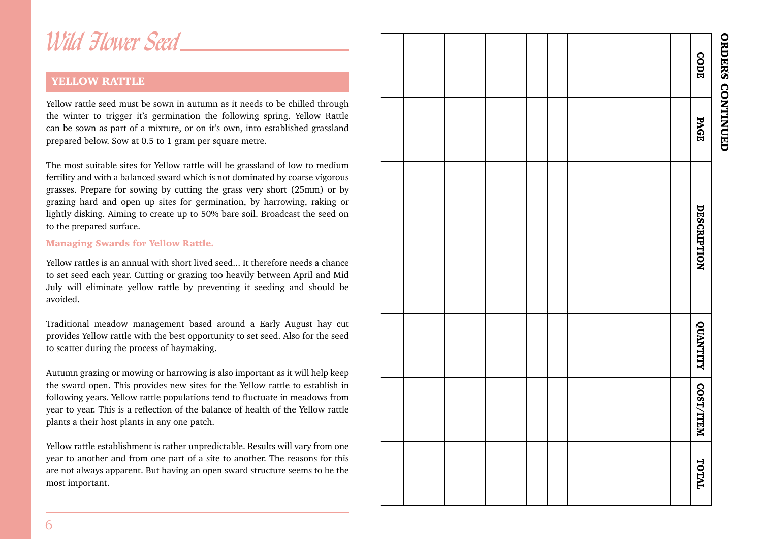Wild Flower Seed

# YELLOW RATTLE

Yellow rattle seed must be sown in autumn as it needs to be chilled through the winter to trigger it's germination the following spring. Yellow Rattle can be sown as part of a mixture, or on it's own, into established grassland prepared below. Sow at 0.5 to 1 gram per square metre.

The most suitable sites for Yellow rattle will be grassland of low to medium fertility and with a balanced sward which is not dominated by coarse vigorous grasses. Prepare for sowing by cutting the grass very short (25mm) or by grazing hard and open up sites for germination, by harrowing, raking or lightly disking. Aiming to create up to 50% bare soil. Broadcast the seed on to the prepared surface.

#### Managing Swards for Yellow Rattle.

Yellow rattles is an annual with short lived seed... It therefore needs a chance to set seed each year. Cutting or grazing too heavily between April and Mid July will eliminate yellow rattle by preventing it seeding and should be avoided.

Traditional meadow management based around a Early August hay cut provides Yellow rattle with the best opportunity to set seed. Also for the seed to scatter during the process of haymaking.

Autumn grazing or mowing or harrowing is also important as it will help keep the sward open. This provides new sites for the Yellow rattle to establish in following years. Yellow rattle populations tend to fluctuate in meadows from year to year. This is a reflection of the balance of health of the Yellow rattle plants a their host plants in any one patch.

Yellow rattle establishment is rather unpredictable. Results will vary from one year to another and from one part of a site to another. The reasons for this are not always apparent. But having an open sward structure seems to be the most important.

|  |  |  |  |  |  |  | CODE            |
|--|--|--|--|--|--|--|-----------------|
|  |  |  |  |  |  |  | PAGE            |
|  |  |  |  |  |  |  | DESCRIPTION     |
|  |  |  |  |  |  |  | <b>VUANTITY</b> |
|  |  |  |  |  |  |  | COST/ITEM       |
|  |  |  |  |  |  |  | TOTAL           |

# **ORDERS CONTINUED**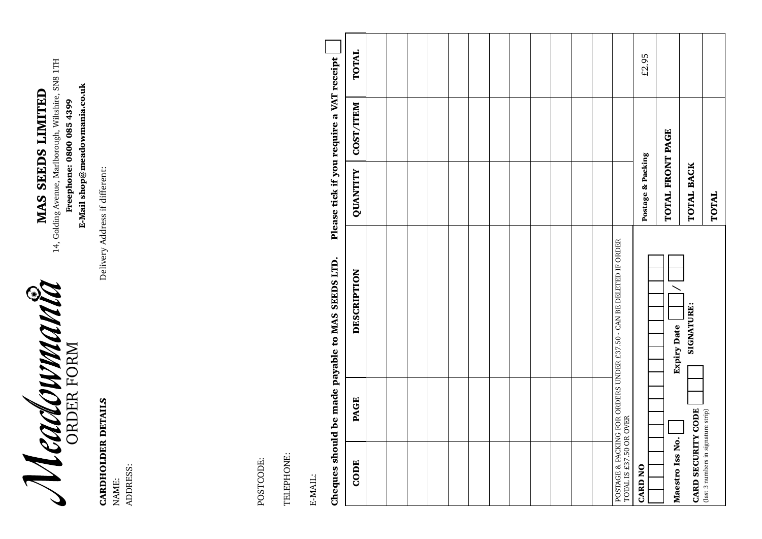Meadoinmanne ORDER FORM

CARDHOLDER DETAILS CARDHOLDER DETAILS NAME:

ADDRESS:

ADDRESS:

14, Golding Avenue, Marlborough, Wiltshire, SN8 1TH 14, Golding Avenue, Marlborough, Wiltshire, SN8 1TH MAS SEEDS LIMITED MAS SEEDS LIMITED

E-Mail shop@meadowmania.co.uk E-Mail shop@meadowmania.co.uk Freephone: 0800 085 4399 Freephone: 0800 085 4399

Delivery Address if different: Delivery Address if different:

> POSTCODE: POSTCODE:

TELEPHONE: TELEPHONE:

E-MAIL:

Please tick if you require a VAT receipt Cheques should be made payable to MAS SEEDS LTD. Please tick if you require a VAT receipt Cheques should be made payable to MAS SEEDS LTD.

| CODE                                | <b>PAGE</b> | <b>DESCRIPTION</b>                                                  | <b>QUANTITY</b>   | <b>COST/ITEM</b> | TOTAL |
|-------------------------------------|-------------|---------------------------------------------------------------------|-------------------|------------------|-------|
|                                     |             |                                                                     |                   |                  |       |
|                                     |             |                                                                     |                   |                  |       |
|                                     |             |                                                                     |                   |                  |       |
|                                     |             |                                                                     |                   |                  |       |
|                                     |             |                                                                     |                   |                  |       |
|                                     |             |                                                                     |                   |                  |       |
|                                     |             |                                                                     |                   |                  |       |
|                                     |             |                                                                     |                   |                  |       |
|                                     |             |                                                                     |                   |                  |       |
|                                     |             |                                                                     |                   |                  |       |
|                                     |             |                                                                     |                   |                  |       |
|                                     |             |                                                                     |                   |                  |       |
| TOTAL IS £37.50 OR                  | <b>OVER</b> | POSTAGE & PACKING FOR ORDERS UNDER £37.50 - CAN BE DELETED IF ORDER |                   |                  |       |
| <b>CARD NO</b>                      |             |                                                                     | Postage & Packing |                  | £2.95 |
| Maestro Iss No.                     |             | <b>Expiry Date</b>                                                  | TOTAL FRONT PAGE  |                  |       |
| CARD SECURITY CODE                  |             | <b>SIGNATURE:</b>                                                   | TOTAL BACK        |                  |       |
| (last 3 numbers in signature strip) |             |                                                                     | TOTAL             |                  |       |
|                                     |             |                                                                     |                   |                  |       |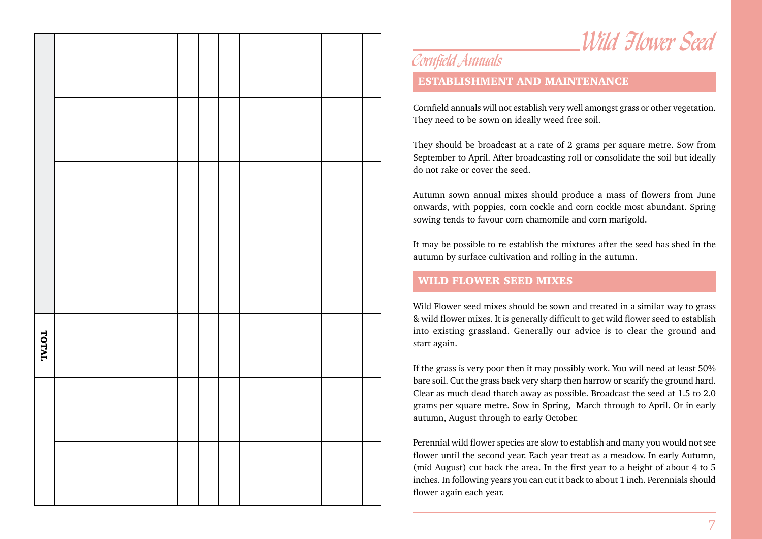| TOTAL |  |  |  |  |  |  |  |  |
|-------|--|--|--|--|--|--|--|--|
|       |  |  |  |  |  |  |  |  |
|       |  |  |  |  |  |  |  |  |

# Wild Flower Seed

Cornfield Annuals

ESTABLISHMENT AND MAINTENANCE

Cornfield annuals will not establish very well amongst grass or other vegetation. They need to be sown on ideally weed free soil.

They should be broadcast at a rate of 2 grams per square metre. Sow from September to April. After broadcasting roll or consolidate the soil but ideally do not rake or cover the seed.

Autumn sown annual mixes should produce a mass of flowers from June onwards, with poppies, corn cockle and corn cockle most abundant. Spring sowing tends to favour corn chamomile and corn marigold.

It may be possible to re establish the mixtures after the seed has shed in the autumn by surface cultivation and rolling in the autumn.

## WILD FLOWER SEED MIXES

Wild Flower seed mixes should be sown and treated in a similar way to grass & wild flower mixes. It is generally difficult to get wild flower seed to establish into existing grassland. Generally our advice is to clear the ground and start again.

If the grass is very poor then it may possibly work. You will need at least 50% bare soil. Cut the grass back very sharp then harrow or scarify the ground hard. Clear as much dead thatch away as possible. Broadcast the seed at 1.5 to 2.0 grams per square metre. Sow in Spring, March through to April. Or in early autumn, August through to early October.

Perennial wild flower species are slow to establish and many you would not see flower until the second year. Each year treat as a meadow. In early Autumn, (mid August) cut back the area. In the first year to a height of about 4 to 5 inches. In following years you can cut it back to about 1 inch. Perennials should flower again each year.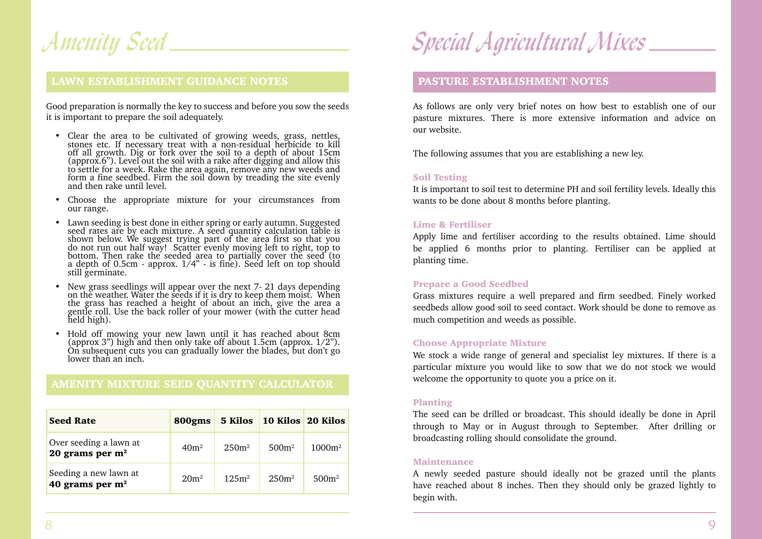Amenity Seed

# LAWN ESTABLISHMENT GUIDANCE NOTES

Good preparation is normally the key to success and before you sow the seeds it is important to prepare the soil adequately.

- Clear the area to be cultivated of growing weeds, grass, nettles, stones etc. If necessary treat with a non-residual herbicide to kill off all growth. Dig or fork over the soil to a depth of about 15cm (approx.6"). Level out the soil with a rake after digging and allow this to settle for a week. Rake the area again, remove any new weeds and form a fine seedbed. Firm the soil down by treading the site evenly and then rake until level.
- Choose the appropriate mixture for your circumstances from our range.
- Lawn seeding is best done in either spring or early autumn. Suggested seed rates are by each mixture. A seed quantity calculation table is shown below. We suggest trying part of the area first so that you do not run out half way! Scatter evenly moving left to right, top to bottom. Then rake the seeded area to partially cover the seed (to a depth of 0.5cm - approx. 1/4" - is fine). Seed left on top should still germinate.
- New grass seedlings will appear over the next 7-21 days depending on the weather. Water the seeds if it is dry to keep them moist. When the grass has reached a height of about an inch, give the area a gentle roll. Use the back roller of your mower (with the cutter head held high).
- Hold off mowing your new lawn until it has reached about 8cm (approx 3") high and then only take off about 1.5cm (approx. 1/2"). On subsequent cuts you can gradually lower the blades, but don't go lower than an inch.

#### AMENITY MIXTURE SEED QUANTITY CALCULATOR

| <b>Seed Rate</b>                            | $800$ gms        |                    | 5 Kilos   10 Kilos   20 Kilos |                   |
|---------------------------------------------|------------------|--------------------|-------------------------------|-------------------|
| Over seeding a lawn at<br>20 grams per $m2$ | 40m <sup>2</sup> | $250m^2$           | 500 <sup>m²</sup>             | $1000m^2$         |
| Seeding a new lawn at<br>40 grams per $m2$  | 20m <sup>2</sup> | 12.5m <sup>2</sup> | 250 <sup>m²</sup>             | 500m <sup>2</sup> |

Special Agricultural Mixes

#### PASTURE ESTABLISHMENT NOTES

As follows are only very brief notes on how best to establish one of our pasture mixtures. There is more extensive information and advice on our website.

The following assumes that you are establishing a new ley.

#### Soil Testing

It is important to soil test to determine PH and soil fertility levels. Ideally this wants to be done about 8 months before planting.

#### Lime & Fertiliser

Apply lime and fertiliser according to the results obtained. Lime should be applied 6 months prior to planting. Fertiliser can be applied at planting time.

#### Prepare a Good Seedbed

Grass mixtures require a well prepared and firm seedbed. Finely worked seedbeds allow good soil to seed contact. Work should be done to remove as much competition and weeds as possible.

#### Choose Appropriate Mixture

We stock a wide range of general and specialist ley mixtures. If there is a particular mixture you would like to sow that we do not stock we would welcome the opportunity to quote you a price on it.

#### Planting

The seed can be drilled or broadcast. This should ideally be done in April through to May or in August through to September. After drilling or broadcasting rolling should consolidate the ground.

#### **Maintenance**

A newly seeded pasture should ideally not be grazed until the plants have reached about 8 inches. Then they should only be grazed lightly to begin with.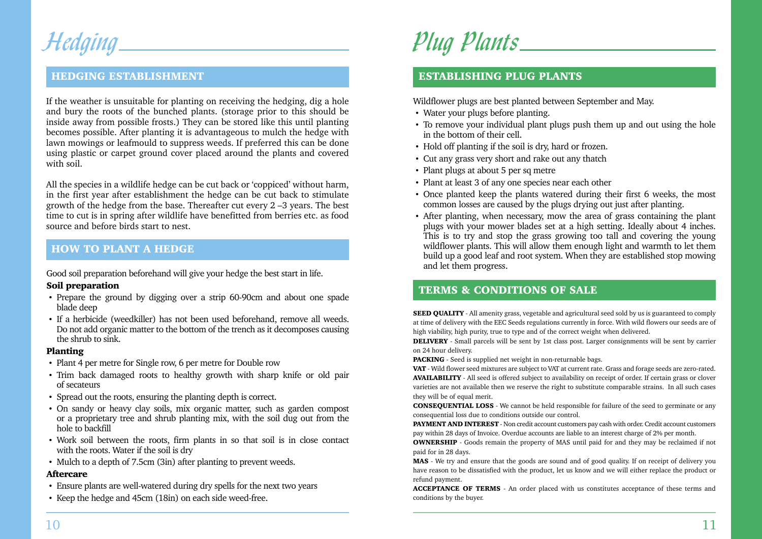Hedging.

# HEDGING ESTABLISHMENT

If the weather is unsuitable for planting on receiving the hedging, dig a hole and bury the roots of the bunched plants. (storage prior to this should be inside away from possible frosts.) They can be stored like this until planting becomes possible. After planting it is advantageous to mulch the hedge with lawn mowings or leafmould to suppress weeds. If preferred this can be done using plastic or carpet ground cover placed around the plants and covered with soil.

All the species in a wildlife hedge can be cut back or 'coppiced' without harm, in the first year after establishment the hedge can be cut back to stimulate growth of the hedge from the base. Thereafter cut every 2 –3 years. The best time to cut is in spring after wildlife have benefitted from berries etc. as food source and before birds start to nest.

# HOW TO PLANT A HEDGE

Good soil preparation beforehand will give your hedge the best start in life.

#### Soil preparation

- Prepare the ground by digging over a strip 60-90cm and about one spade blade deep
- If a herbicide (weedkiller) has not been used beforehand, remove all weeds. Do not add organic matter to the bottom of the trench as it decomposes causing the shrub to sink.

#### Planting

- Plant 4 per metre for Single row, 6 per metre for Double row
- Trim back damaged roots to healthy growth with sharp knife or old pair of secateurs
- Spread out the roots, ensuring the planting depth is correct.
- On sandy or heavy clay soils, mix organic matter, such as garden compost or a proprietary tree and shrub planting mix, with the soil dug out from the hole to backfill
- Work soil between the roots, firm plants in so that soil is in close contact with the roots. Water if the soil is dry
- Mulch to a depth of 7.5cm (3in) after planting to prevent weeds.

#### Aftercare

- Ensure plants are well-watered during dry spells for the next two years
- Keep the hedge and 45cm (18in) on each side weed-free.

Plug Plants

# ESTABLISHING PLUG PLANTS

Wildflower plugs are best planted between September and May.

- Water your plugs before planting.
- To remove your individual plant plugs push them up and out using the hole in the bottom of their cell.
- Hold off planting if the soil is dry, hard or frozen.
- Cut any grass very short and rake out any thatch
- Plant plugs at about 5 per sq metre
- Plant at least 3 of any one species near each other
- Once planted keep the plants watered during their first 6 weeks, the most common losses are caused by the plugs drying out just after planting.
- After planting, when necessary, mow the area of grass containing the plant plugs with your mower blades set at a high setting. Ideally about 4 inches. This is to try and stop the grass growing too tall and covering the young wildflower plants. This will allow them enough light and warmth to let them build up a good leaf and root system. When they are established stop mowing and let them progress.

## TERMS & CONDITIONS OF SALE

**SEED QUALITY** - All amenity grass, vegetable and agricultural seed sold by us is guaranteed to comply at time of delivery with the EEC Seeds regulations currently in force. With wild flowers our seeds are of high viability, high purity, true to type and of the correct weight when delivered.

DELIVERY - Small parcels will be sent by 1st class post. Larger consignments will be sent by carrier on 24 hour delivery.

PACKING - Seed is supplied net weight in non-returnable bags.

VAT - Wild flower seed mixtures are subject to VAT at current rate. Grass and forage seeds are zero-rated. AVAILABILITY - All seed is offered subject to availability on receipt of order. If certain grass or clover varieties are not available then we reserve the right to substitute comparable strains. In all such cases they will be of equal merit.

CONSEQUENTIAL LOSS - We cannot be held responsible for failure of the seed to germinate or any consequential loss due to conditions outside our control.

PAYMENT AND INTEREST - Non credit account customers pay cash with order. Credit account customers pay within 28 days of Invoice. Overdue accounts are liable to an interest charge of 2% per month.

OWNERSHIP - Goods remain the property of MAS until paid for and they may be reclaimed if not paid for in 28 days.

MAS - We try and ensure that the goods are sound and of good quality. If on receipt of delivery you have reason to be dissatisfied with the product, let us know and we will either replace the product or refund payment.

ACCEPTANCE OF TERMS - An order placed with us constitutes acceptance of these terms and conditions by the buyer.